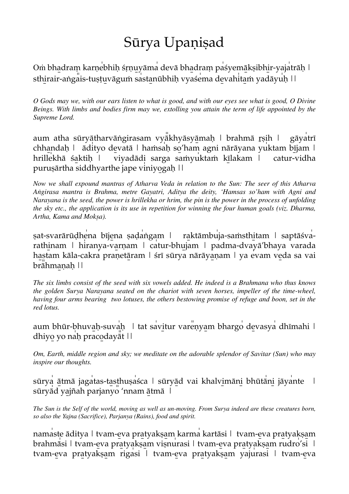## Sūrya Upaṇiṣad

Oṁ bhadraṃ karṇebhiḥ śṛṇu̯yāma devā bhadraṃ pasyemākṣibhir-yajatrāḥ | sthirair-aṅgais-tuṣṭuvāguṁ sastanūbhiḥ vyaśema devahitaṁ yadāyuḥ ||

*O Gods may we, with our ears listen to what is good, and with our eyes see what is good, O Divine Beings. With limbs and bodies firm may we, extolling you attain the term of life appointed by the Supreme Lord.* 

aum atha sūryātharvāṅgirasam vyakhyāsyāmaḥ | brahmā rṣih | gāyatrī chhandah | ādityo devatā | haṁsah so'ham agni nārāyana yuktam bījam | hrillekhā śaktiḥ | viyadādi sarga saṁyuktaṁ kīlakam | catur-vidha puruṣārtha siddhyarthe jape viniyogaḥ | |

*Now we shall expound mantras of Atharva Veda in relation to the Sun: The seer of this Atharva Aṅgirasa mantra is Brahma, metre Gayatri, Aditya the deity, 'Hamsas so'ham with Agni and Narayana is the seed, the power is hrillekha or hrim, the pin is the power in the process of unfolding the sky etc., the application is its use in repetition for winning the four human goals (viz. Dharma, Artha, Kama and Mokṣa).*

sat-svarārūḍhena bījena saḍangam | raktāmbuja-saṁsthitam | saptāśvarathinam | hiranya-varṇam | catur-bhujam | padma-dvayā'bhaya varada hastam kāla-cakra praṇetāram | śrī sūrya nārāyaṇam | ya evam veda sa vai brāhmanah ||

*The six limbs consist of the seed with six vowels added. He indeed is a Brahmana who thus knows the golden Surya Narayana seated on the chariot with seven horses, impeller of the time-wheel, having four arms bearing two lotuses, the others bestowing promise of refuge and boon, set in the red lotus.*

aum bhūr-bhuvaḥ-suvaḥ | tat savitur varenyam bhargo devasya dhīmahi | dhiyo yo nah pracodayat | |

*Om, Earth, middle region and sky; we meditate on the adorable splendor of Savitar (Sun) who may inspire our thoughts.*

sūrya ātmā jagatas-tasthuṣasca | sūryād vai khalvimāni bhūtāni jāyante | sūryād yajñah parjanyo 'nnam ātmā |

*The Sun is the Self of the world, moving as well as un-moving. From Surya indeed are these creatures born, so also the Yajna (Sacrifice), Parjanya (Rains), food and spirit.*

namaste āditya | tvam-eva pratyakṣam karma kartāsi | tvam-eva pratyakṣam brahmāsi | tvam-eva pratyakṣam viṣnurasi | tvam-eva pratyakṣam rudro'si | tvam-eva pratyakṣam rigasi | tvam-eva pratyakṣam yajurasi | tvam-eva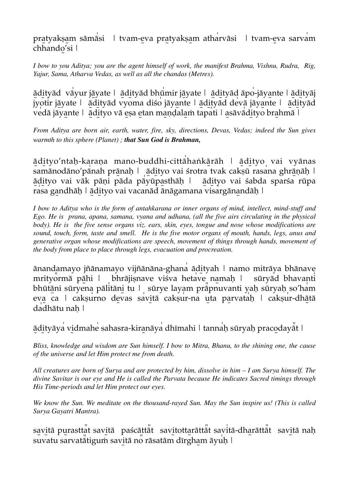pratyakṣam sāmāsi | tvam-eva pratyakṣam atharvāsi | tvam-eva sarvam chhando'si |

*I bow to you Aditya; you are the agent himself of work, the manifest Brahma, Vishnu, Rudra, Rig, Yajur, Sama, Atharva Vedas, as well as all the chandas (Metres).*

ā̱di̱tyād vā̍yur jā̱yate | ā̱di̱tyād bhū̍mir jā̱yate | ā̱di̱tyād āpo̍-jāya̱nte | ā̱di̱tyāj jyoti̍r jā̱yate | ā̱di̱tyād vyoma diśo j̍ āya̱nte | ā̱di̱tyād de̍vā jāya̱nte | ā̱di̱tyād vedā jāyante | ādityo vā eṣa etan maṇḍalaṁ tapati | asāvādityo brahmā |

*From Aditya are born air, earth, water, fire, sky, directions, Devas, Vedas; indeed the Sun gives warmth to this sphere (Planet) ; that Sun God is Brahman,*

ādityo'ntaḥ-karaṇa mano-buddhi-cittā haṅkārāh | ādityo vai vyānas samānodāno'pānah prānaḥ | ādityo vai śrotra tvak cakṣū rasana ghrāṇāḥ | ā̱di̱tyo vai vāk pāṇi pāda pā̍yūpa̱sthāḥ | ā̱di̱tyo vai śabda sparśa rūpa rasa gandhāḥ | ādityo vai vacanād ānāgamana visargānandāḥ |

*I bow to Aditya who is the form of antahkarana or inner organs of mind, intellect, mind-stuff and Ego. He is prana, apana, samana, vyana and udhana, (all the five airs circulating in the physical body). He is the five sense organs viz. ears, skin, eyes, tongue and nose whose modifications are sound, touch, form, taste and smell. He is the five motor organs of mouth, hands, legs, anus and generative organ whose modifications are speech, movement of things through hands, movement of the body from place to place through legs, evacuation and procreation.* 

ānandamayo jñānamayo vijñānāna-ghana̍ ādi̱tyah | namo mitrāya bhānave mrityormā pāhi | bhrājiṣnave viśva hetave namaḥ | sūryād bhavanti bhūtāni sūryena pālitāni tu | sūrye layam prāpnuvanti yaḥ sūryaḥ so'ham eva ca | cakṣurno devas savitā cakṣur-na uta parvataḥ | cakṣur-dhātā da̍dhātu naḥ |

ā̱di̱tyāya̍ vi̱dmahe̍ sahasra-kira̱nāya̍ dhīmahi | tanna̍ḥ sūryaḥ praco̱dayā̎t |

*Bliss, knowledge and wisdom are Sun himself. I bow to Mitra, Bhanu, to the shining one, the cause of the universe and let Him protect me from death.*

*All creatures are born of Surya and are protected by him, dissolve in him – I am Surya himself. The divine Savitar is our eye and He is called the Parvata because He indicates Sacred timings through His Time-periods and let Him protect our eyes.*

*We know the Sun. We meditate on the thousand-rayed Sun. May the Sun inspire us! (This is called Surya Gayatri Mantra).*

savitā purasttat savitā paścāttat savitottarāttat savitā-dharāttat savitā naḥ suvatu sarvatātigum savitā no rāsatām dīrgham āyuḥ |